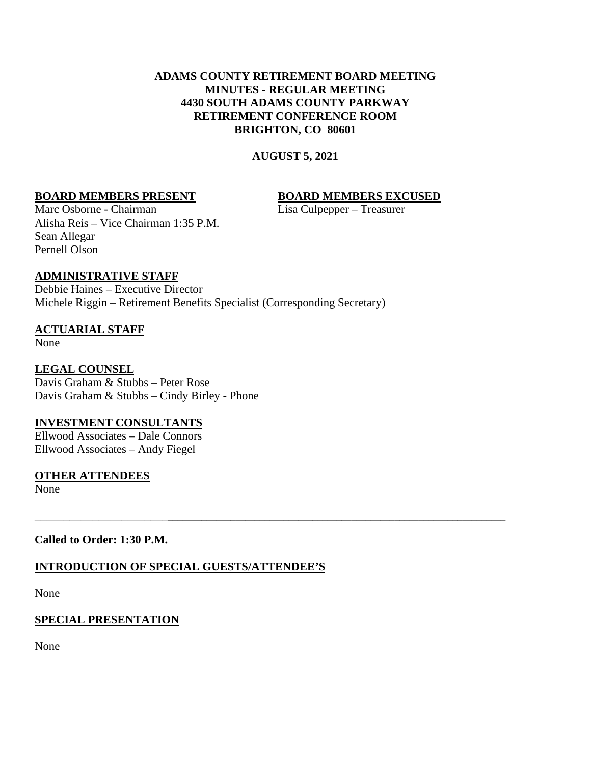### **ADAMS COUNTY RETIREMENT BOARD MEETING MINUTES - REGULAR MEETING 4430 SOUTH ADAMS COUNTY PARKWAY RETIREMENT CONFERENCE ROOM BRIGHTON, CO 80601**

**AUGUST 5, 2021**

\_\_\_\_\_\_\_\_\_\_\_\_\_\_\_\_\_\_\_\_\_\_\_\_\_\_\_\_\_\_\_\_\_\_\_\_\_\_\_\_\_\_\_\_\_\_\_\_\_\_\_\_\_\_\_\_\_\_\_\_\_\_\_\_\_\_\_\_\_\_\_\_\_\_\_\_\_\_\_\_\_\_\_\_\_\_\_\_\_\_\_\_\_

## **BOARD MEMBERS PRESENT BOARD MEMBERS EXCUSED**

Marc Osborne - Chairman Lisa Culpepper – Treasurer Alisha Reis – Vice Chairman 1:35 P.M. Sean Allegar Pernell Olson

## **ADMINISTRATIVE STAFF**

Debbie Haines – Executive Director Michele Riggin – Retirement Benefits Specialist (Corresponding Secretary)

## **ACTUARIAL STAFF**

None

## **LEGAL COUNSEL**

Davis Graham & Stubbs – Peter Rose Davis Graham & Stubbs – Cindy Birley - Phone

## **INVESTMENT CONSULTANTS**

Ellwood Associates – Dale Connors Ellwood Associates – Andy Fiegel

## **OTHER ATTENDEES**

None

## **Called to Order: 1:30 P.M.**

## **INTRODUCTION OF SPECIAL GUESTS/ATTENDEE'S**

None

## **SPECIAL PRESENTATION**

None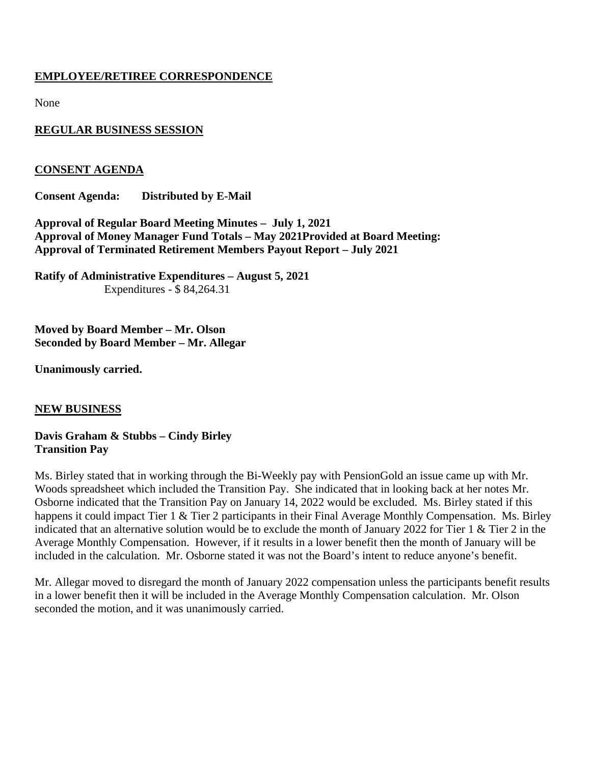## **EMPLOYEE/RETIREE CORRESPONDENCE**

None

## **REGULAR BUSINESS SESSION**

## **CONSENT AGENDA**

**Consent Agenda: Distributed by E-Mail**

**Approval of Regular Board Meeting Minutes – July 1, 2021 Approval of Money Manager Fund Totals – May 2021Provided at Board Meeting: Approval of Terminated Retirement Members Payout Report – July 2021**

**Ratify of Administrative Expenditures – August 5, 2021** Expenditures - \$ 84,264.31

**Moved by Board Member – Mr. Olson Seconded by Board Member – Mr. Allegar**

**Unanimously carried.**

## **NEW BUSINESS**

**Davis Graham & Stubbs – Cindy Birley Transition Pay**

Ms. Birley stated that in working through the Bi-Weekly pay with PensionGold an issue came up with Mr. Woods spreadsheet which included the Transition Pay. She indicated that in looking back at her notes Mr. Osborne indicated that the Transition Pay on January 14, 2022 would be excluded. Ms. Birley stated if this happens it could impact Tier 1 & Tier 2 participants in their Final Average Monthly Compensation. Ms. Birley indicated that an alternative solution would be to exclude the month of January 2022 for Tier 1 & Tier 2 in the Average Monthly Compensation. However, if it results in a lower benefit then the month of January will be included in the calculation. Mr. Osborne stated it was not the Board's intent to reduce anyone's benefit.

Mr. Allegar moved to disregard the month of January 2022 compensation unless the participants benefit results in a lower benefit then it will be included in the Average Monthly Compensation calculation. Mr. Olson seconded the motion, and it was unanimously carried.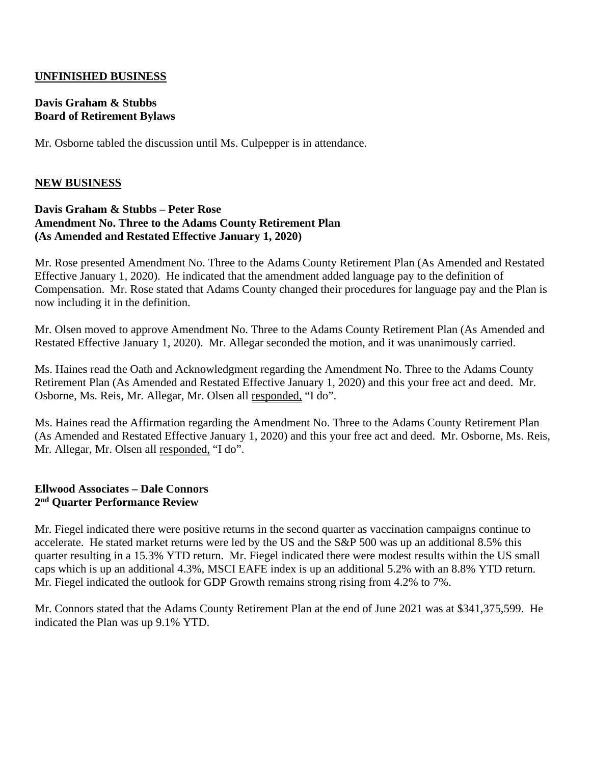### **UNFINISHED BUSINESS**

#### **Davis Graham & Stubbs Board of Retirement Bylaws**

Mr. Osborne tabled the discussion until Ms. Culpepper is in attendance.

### **NEW BUSINESS**

#### **Davis Graham & Stubbs – Peter Rose Amendment No. Three to the Adams County Retirement Plan (As Amended and Restated Effective January 1, 2020)**

Mr. Rose presented Amendment No. Three to the Adams County Retirement Plan (As Amended and Restated Effective January 1, 2020). He indicated that the amendment added language pay to the definition of Compensation. Mr. Rose stated that Adams County changed their procedures for language pay and the Plan is now including it in the definition.

Mr. Olsen moved to approve Amendment No. Three to the Adams County Retirement Plan (As Amended and Restated Effective January 1, 2020). Mr. Allegar seconded the motion, and it was unanimously carried.

Ms. Haines read the Oath and Acknowledgment regarding the Amendment No. Three to the Adams County Retirement Plan (As Amended and Restated Effective January 1, 2020) and this your free act and deed. Mr. Osborne, Ms. Reis, Mr. Allegar, Mr. Olsen all responded, "I do".

Ms. Haines read the Affirmation regarding the Amendment No. Three to the Adams County Retirement Plan (As Amended and Restated Effective January 1, 2020) and this your free act and deed. Mr. Osborne, Ms. Reis, Mr. Allegar, Mr. Olsen all responded, "I do".

#### **Ellwood Associates – Dale Connors 2nd Quarter Performance Review**

Mr. Fiegel indicated there were positive returns in the second quarter as vaccination campaigns continue to accelerate. He stated market returns were led by the US and the S&P 500 was up an additional 8.5% this quarter resulting in a 15.3% YTD return. Mr. Fiegel indicated there were modest results within the US small caps which is up an additional 4.3%, MSCI EAFE index is up an additional 5.2% with an 8.8% YTD return. Mr. Fiegel indicated the outlook for GDP Growth remains strong rising from 4.2% to 7%.

Mr. Connors stated that the Adams County Retirement Plan at the end of June 2021 was at \$341,375,599. He indicated the Plan was up 9.1% YTD.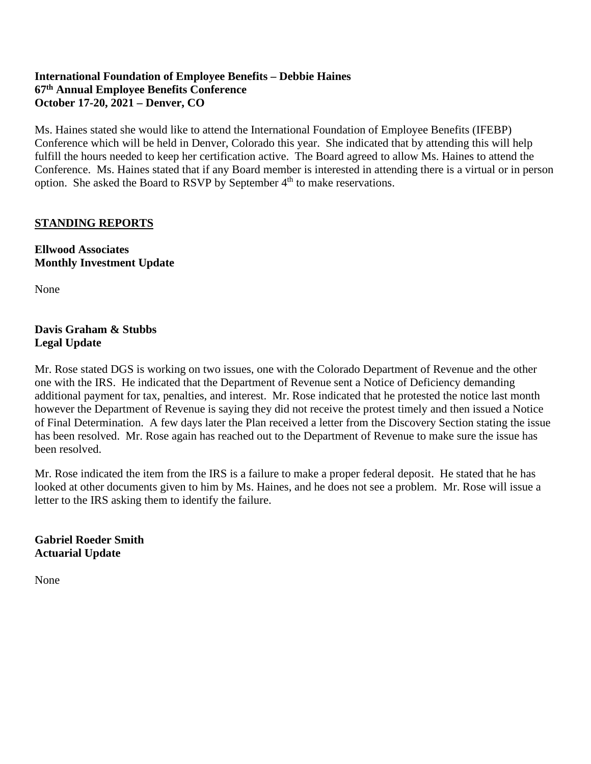## **International Foundation of Employee Benefits – Debbie Haines 67th Annual Employee Benefits Conference October 17-20, 2021 – Denver, CO**

Ms. Haines stated she would like to attend the International Foundation of Employee Benefits (IFEBP) Conference which will be held in Denver, Colorado this year. She indicated that by attending this will help fulfill the hours needed to keep her certification active. The Board agreed to allow Ms. Haines to attend the Conference. Ms. Haines stated that if any Board member is interested in attending there is a virtual or in person option. She asked the Board to RSVP by September 4<sup>th</sup> to make reservations.

## **STANDING REPORTS**

**Ellwood Associates Monthly Investment Update**

None

## **Davis Graham & Stubbs Legal Update**

Mr. Rose stated DGS is working on two issues, one with the Colorado Department of Revenue and the other one with the IRS. He indicated that the Department of Revenue sent a Notice of Deficiency demanding additional payment for tax, penalties, and interest. Mr. Rose indicated that he protested the notice last month however the Department of Revenue is saying they did not receive the protest timely and then issued a Notice of Final Determination. A few days later the Plan received a letter from the Discovery Section stating the issue has been resolved. Mr. Rose again has reached out to the Department of Revenue to make sure the issue has been resolved.

Mr. Rose indicated the item from the IRS is a failure to make a proper federal deposit. He stated that he has looked at other documents given to him by Ms. Haines, and he does not see a problem. Mr. Rose will issue a letter to the IRS asking them to identify the failure.

### **Gabriel Roeder Smith Actuarial Update**

None